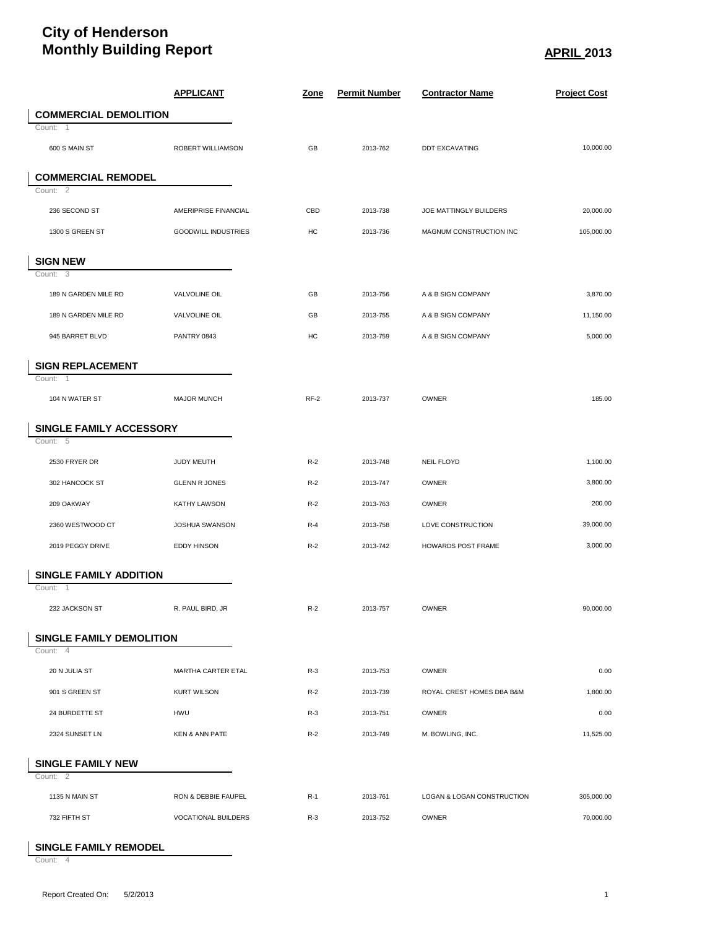## **City of Henderson Monthly Building Report APRIL 2013**

|                                 | <b>APPLICANT</b>           | <u>Zone</u> | <b>Permit Number</b> | <b>Contractor Name</b>     | <b>Project Cost</b> |
|---------------------------------|----------------------------|-------------|----------------------|----------------------------|---------------------|
| <b>COMMERCIAL DEMOLITION</b>    |                            |             |                      |                            |                     |
| Count: 1                        |                            |             |                      |                            |                     |
| 600 S MAIN ST                   | ROBERT WILLIAMSON          | GB          | 2013-762             | <b>DDT EXCAVATING</b>      | 10,000.00           |
| <b>COMMERCIAL REMODEL</b>       |                            |             |                      |                            |                     |
| Count: 2                        |                            |             |                      |                            |                     |
| 236 SECOND ST                   | AMERIPRISE FINANCIAL       | CBD         | 2013-738             | JOE MATTINGLY BUILDERS     | 20,000.00           |
| 1300 S GREEN ST                 | <b>GOODWILL INDUSTRIES</b> | HC          | 2013-736             | MAGNUM CONSTRUCTION INC    | 105,000.00          |
| <b>SIGN NEW</b>                 |                            |             |                      |                            |                     |
| Count: 3                        |                            |             |                      |                            |                     |
| 189 N GARDEN MILE RD            | VALVOLINE OIL              | GB          | 2013-756             | A & B SIGN COMPANY         | 3,870.00            |
| 189 N GARDEN MILE RD            | VALVOLINE OIL              | GB          | 2013-755             | A & B SIGN COMPANY         | 11,150.00           |
| 945 BARRET BLVD                 | PANTRY 0843                | HC          | 2013-759             | A & B SIGN COMPANY         | 5,000.00            |
| <b>SIGN REPLACEMENT</b>         |                            |             |                      |                            |                     |
| Count: 1                        |                            |             |                      |                            |                     |
| 104 N WATER ST                  | <b>MAJOR MUNCH</b>         | $RF-2$      | 2013-737             | <b>OWNER</b>               | 185.00              |
| SINGLE FAMILY ACCESSORY         |                            |             |                      |                            |                     |
| Count: $\overline{5}$           |                            |             |                      |                            |                     |
| 2530 FRYER DR                   | JUDY MEUTH                 | $R-2$       | 2013-748             | <b>NEIL FLOYD</b>          | 1,100.00            |
| 302 HANCOCK ST                  | <b>GLENN R JONES</b>       | $R-2$       | 2013-747             | OWNER                      | 3,800.00            |
| 209 OAKWAY                      | KATHY LAWSON               | $R-2$       | 2013-763             | OWNER                      | 200.00              |
| 2360 WESTWOOD CT                | JOSHUA SWANSON             | $R-4$       | 2013-758             | LOVE CONSTRUCTION          | 39,000.00           |
| 2019 PEGGY DRIVE                | <b>EDDY HINSON</b>         | $R-2$       | 2013-742             | HOWARDS POST FRAME         | 3,000.00            |
| <b>SINGLE FAMILY ADDITION</b>   |                            |             |                      |                            |                     |
| Count: 1                        |                            |             |                      |                            |                     |
| 232 JACKSON ST                  | R. PAUL BIRD, JR           | $R-2$       | 2013-757             | <b>OWNER</b>               | 90.000.00           |
| <b>SINGLE FAMILY DEMOLITION</b> |                            |             |                      |                            |                     |
| Count: 4                        |                            |             |                      |                            |                     |
| 20 N JULIA ST                   | MARTHA CARTER ETAL         | $R-3$       | 2013-753             | <b>OWNER</b>               | 0.00                |
| 901 S GREEN ST                  | <b>KURT WILSON</b>         | $R-2$       | 2013-739             | ROYAL CREST HOMES DBA B&M  | 1,800.00            |
| 24 BURDETTE ST                  | <b>HWU</b>                 | $R-3$       | 2013-751             | <b>OWNER</b>               | 0.00                |
| 2324 SUNSET LN                  | <b>KEN &amp; ANN PATE</b>  | $R-2$       | 2013-749             | M. BOWLING, INC.           | 11,525.00           |
| <b>SINGLE FAMILY NEW</b>        |                            |             |                      |                            |                     |
| Count: 2                        |                            |             |                      |                            |                     |
| 1135 N MAIN ST                  | RON & DEBBIE FAUPEL        | $R-1$       | 2013-761             | LOGAN & LOGAN CONSTRUCTION | 305,000.00          |
| 732 FIFTH ST                    | <b>VOCATIONAL BUILDERS</b> | $R-3$       | 2013-752             | <b>OWNER</b>               | 70,000.00           |

**SINGLE FAMILY REMODEL**

Count: 4